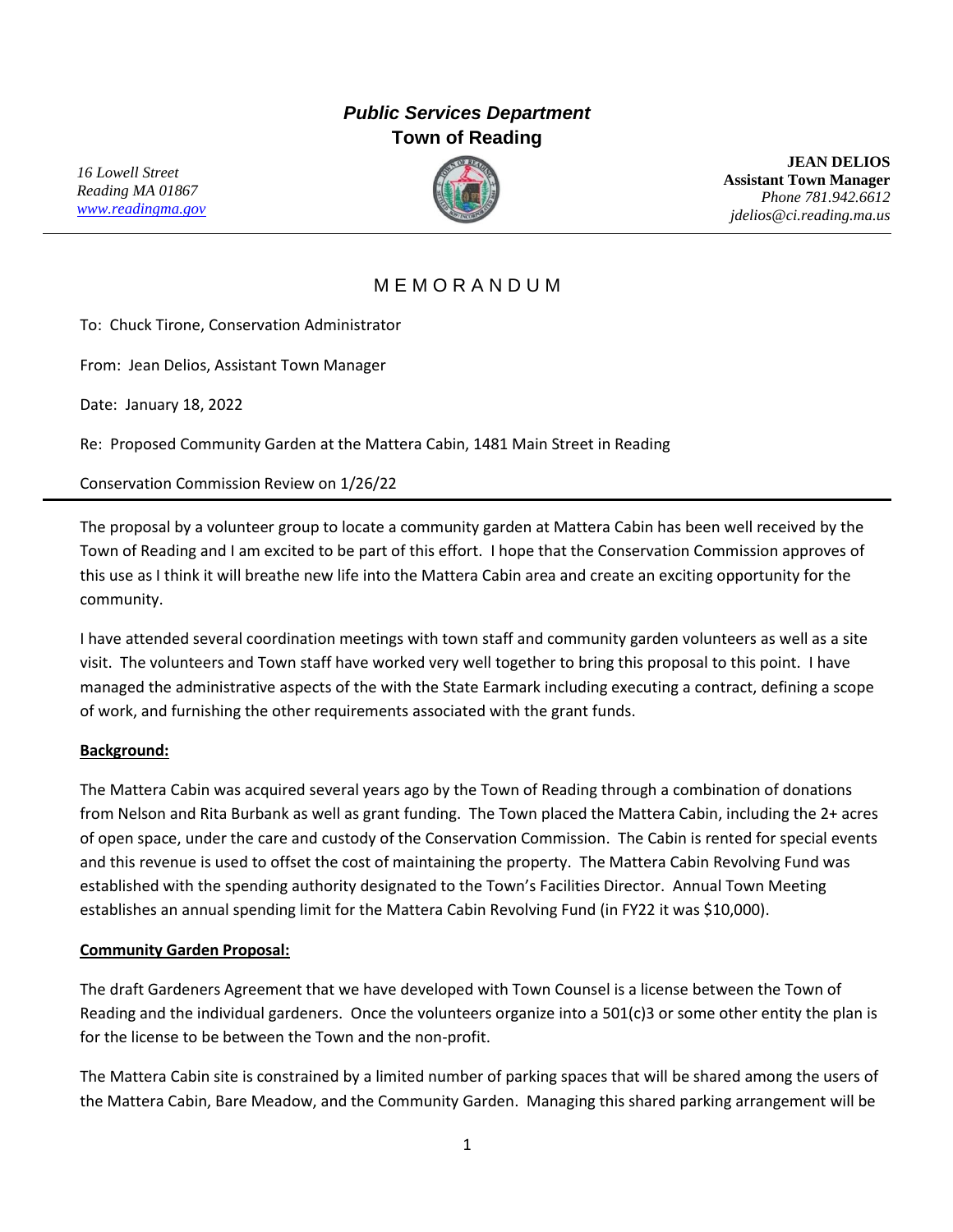## *Public Services Department* **Town of Reading**

*16 Lowell Street Reading MA 01867 [www.readingma.gov](http://www.readingma.gov/)*



**JEAN DELIOS Assistant Town Manager** *Phone 781.942.6612 jdelios@ci.reading.ma.us*

## M E M O R A N D U M

To: Chuck Tirone, Conservation Administrator

From: Jean Delios, Assistant Town Manager

Date: January 18, 2022

Re: Proposed Community Garden at the Mattera Cabin, 1481 Main Street in Reading

Conservation Commission Review on 1/26/22

The proposal by a volunteer group to locate a community garden at Mattera Cabin has been well received by the Town of Reading and I am excited to be part of this effort. I hope that the Conservation Commission approves of this use as I think it will breathe new life into the Mattera Cabin area and create an exciting opportunity for the community.

I have attended several coordination meetings with town staff and community garden volunteers as well as a site visit. The volunteers and Town staff have worked very well together to bring this proposal to this point. I have managed the administrative aspects of the with the State Earmark including executing a contract, defining a scope of work, and furnishing the other requirements associated with the grant funds.

## **Background:**

The Mattera Cabin was acquired several years ago by the Town of Reading through a combination of donations from Nelson and Rita Burbank as well as grant funding. The Town placed the Mattera Cabin, including the 2+ acres of open space, under the care and custody of the Conservation Commission. The Cabin is rented for special events and this revenue is used to offset the cost of maintaining the property. The Mattera Cabin Revolving Fund was established with the spending authority designated to the Town's Facilities Director. Annual Town Meeting establishes an annual spending limit for the Mattera Cabin Revolving Fund (in FY22 it was \$10,000).

## **Community Garden Proposal:**

The draft Gardeners Agreement that we have developed with Town Counsel is a license between the Town of Reading and the individual gardeners. Once the volunteers organize into a 501(c)3 or some other entity the plan is for the license to be between the Town and the non-profit.

The Mattera Cabin site is constrained by a limited number of parking spaces that will be shared among the users of the Mattera Cabin, Bare Meadow, and the Community Garden. Managing this shared parking arrangement will be